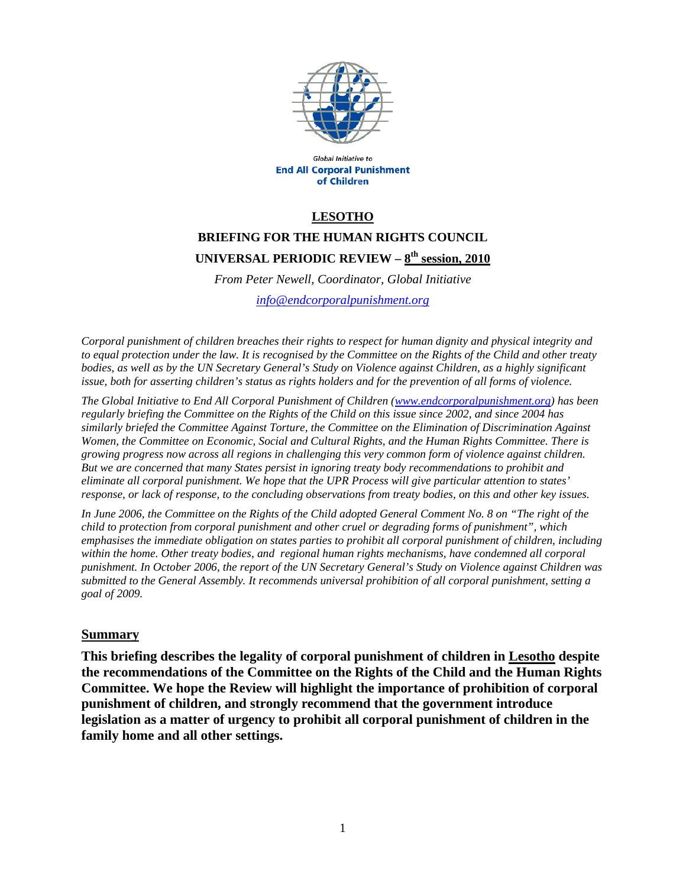

Global Initiative to **End All Corporal Punishment** of Children

### **LESOTHO**

# **BRIEFING FOR THE HUMAN RIGHTS COUNCIL UNIVERSAL PERIODIC REVIEW – 8th session, 2010**

*From Peter Newell, Coordinator, Global Initiative info@endcorporalpunishment.org*

*Corporal punishment of children breaches their rights to respect for human dignity and physical integrity and to equal protection under the law. It is recognised by the Committee on the Rights of the Child and other treaty bodies, as well as by the UN Secretary General's Study on Violence against Children, as a highly significant issue, both for asserting children's status as rights holders and for the prevention of all forms of violence.* 

*The Global Initiative to End All Corporal Punishment of Children (www.endcorporalpunishment.org) has been regularly briefing the Committee on the Rights of the Child on this issue since 2002, and since 2004 has similarly briefed the Committee Against Torture, the Committee on the Elimination of Discrimination Against Women, the Committee on Economic, Social and Cultural Rights, and the Human Rights Committee. There is growing progress now across all regions in challenging this very common form of violence against children. But we are concerned that many States persist in ignoring treaty body recommendations to prohibit and eliminate all corporal punishment. We hope that the UPR Process will give particular attention to states' response, or lack of response, to the concluding observations from treaty bodies, on this and other key issues.* 

*In June 2006, the Committee on the Rights of the Child adopted General Comment No. 8 on "The right of the child to protection from corporal punishment and other cruel or degrading forms of punishment", which emphasises the immediate obligation on states parties to prohibit all corporal punishment of children, including*  within the home. Other treaty bodies, and regional human rights mechanisms, have condemned all corporal *punishment. In October 2006, the report of the UN Secretary General's Study on Violence against Children was submitted to the General Assembly. It recommends universal prohibition of all corporal punishment, setting a goal of 2009.*

#### **Summary**

**This briefing describes the legality of corporal punishment of children in Lesotho despite the recommendations of the Committee on the Rights of the Child and the Human Rights Committee. We hope the Review will highlight the importance of prohibition of corporal punishment of children, and strongly recommend that the government introduce legislation as a matter of urgency to prohibit all corporal punishment of children in the family home and all other settings.**